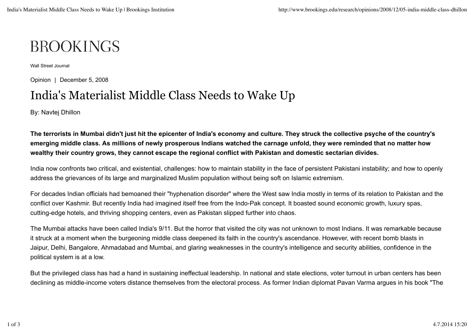## **BROOKINGS**

Wall Street Journal

Opinion | December 5, 2008

## India's Materialist Middle Class Needs to Wake Up

By: Navtej Dhillon

**The terrorists in Mumbai didn't just hit the epicenter of India's economy and culture. They struck the collective psyche of the country's emerging middle class. As millions of newly prosperous Indians watched the carnage unfold, they were reminded that no matter how wealthy their country grows, they cannot escape the regional conflict with Pakistan and domestic sectarian divides.**

India now confronts two critical, and existential, challenges: how to maintain stability in the face of persistent Pakistani instability; and how to openly address the grievances of its large and marginalized Muslim population without being soft on Islamic extremism.

For decades Indian officials had bemoaned their "hyphenation disorder" where the West saw India mostly in terms of its relation to Pakistan and the conflict over Kashmir. But recently India had imagined itself free from the Indo-Pak concept. It boasted sound economic growth, luxury spas, cutting-edge hotels, and thriving shopping centers, even as Pakistan slipped further into chaos.

The Mumbai attacks have been called India's 9/11. But the horror that visited the city was not unknown to most Indians. It was remarkable because it struck at a moment when the burgeoning middle class deepened its faith in the country's ascendance. However, with recent bomb blasts in Jaipur, Delhi, Bangalore, Ahmadabad and Mumbai, and glaring weaknesses in the country's intelligence and security abilities, confidence in the political system is at a low.

But the privileged class has had a hand in sustaining ineffectual leadership. In national and state elections, voter turnout in urban centers has been declining as middle-income voters distance themselves from the electoral process. As former Indian diplomat Pavan Varma argues in his book "The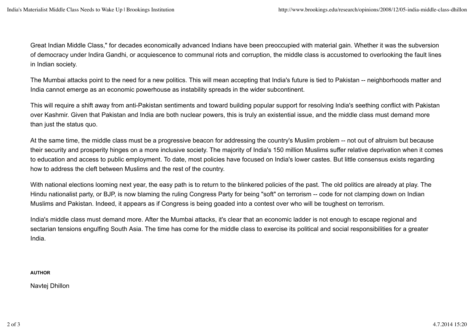Great Indian Middle Class," for decades economically advanced Indians have been preoccupied with material gain. Whether it was the subversion of democracy under Indira Gandhi, or acquiescence to communal riots and corruption, the middle class is accustomed to overlooking the fault lines in Indian society.

The Mumbai attacks point to the need for a new politics. This will mean accepting that India's future is tied to Pakistan -- neighborhoods matter and India cannot emerge as an economic powerhouse as instability spreads in the wider subcontinent.

This will require a shift away from anti-Pakistan sentiments and toward building popular support for resolving India's seething conflict with Pakistan over Kashmir. Given that Pakistan and India are both nuclear powers, this is truly an existential issue, and the middle class must demand more than just the status quo.

At the same time, the middle class must be a progressive beacon for addressing the country's Muslim problem -- not out of altruism but because their security and prosperity hinges on a more inclusive society. The majority of India's 150 million Muslims suffer relative deprivation when it comes to education and access to public employment. To date, most policies have focused on India's lower castes. But little consensus exists regarding how to address the cleft between Muslims and the rest of the country.

With national elections looming next year, the easy path is to return to the blinkered policies of the past. The old politics are already at play. The Hindu nationalist party, or BJP, is now blaming the ruling Congress Party for being "soft" on terrorism -- code for not clamping down on Indian Muslims and Pakistan. Indeed, it appears as if Congress is being goaded into a contest over who will be toughest on terrorism.

India's middle class must demand more. After the Mumbai attacks, it's clear that an economic ladder is not enough to escape regional and sectarian tensions engulfing South Asia. The time has come for the middle class to exercise its political and social responsibilities for a greater India.

**AUTHOR**

Navtej Dhillon